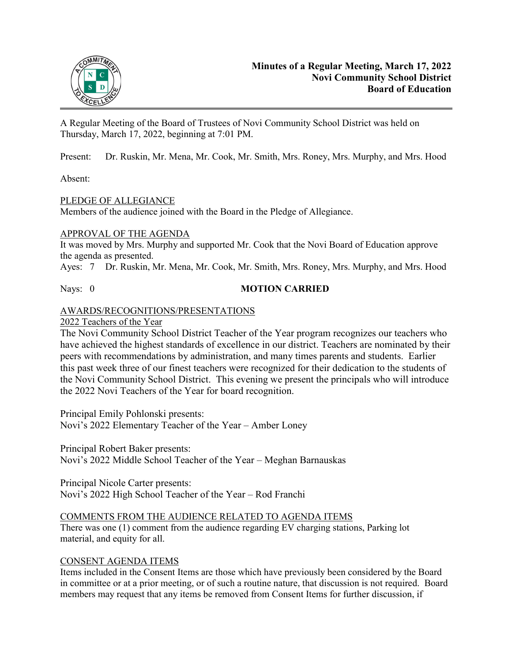

A Regular Meeting of the Board of Trustees of Novi Community School District was held on Thursday, March 17, 2022, beginning at 7:01 PM.

Present: Dr. Ruskin, Mr. Mena, Mr. Cook, Mr. Smith, Mrs. Roney, Mrs. Murphy, and Mrs. Hood

Absent:

# PLEDGE OF ALLEGIANCE

Members of the audience joined with the Board in the Pledge of Allegiance.

# APPROVAL OF THE AGENDA

It was moved by Mrs. Murphy and supported Mr. Cook that the Novi Board of Education approve the agenda as presented.

Ayes: 7 Dr. Ruskin, Mr. Mena, Mr. Cook, Mr. Smith, Mrs. Roney, Mrs. Murphy, and Mrs. Hood

# Nays: 0 **MOTION CARRIED**

# AWARDS/RECOGNITIONS/PRESENTATIONS

2022 Teachers of the Year

The Novi Community School District Teacher of the Year program recognizes our teachers who have achieved the highest standards of excellence in our district. Teachers are nominated by their peers with recommendations by administration, and many times parents and students. Earlier this past week three of our finest teachers were recognized for their dedication to the students of the Novi Community School District. This evening we present the principals who will introduce the 2022 Novi Teachers of the Year for board recognition.

Principal Emily Pohlonski presents: Novi's 2022 Elementary Teacher of the Year – Amber Loney

Principal Robert Baker presents: Novi's 2022 Middle School Teacher of the Year – Meghan Barnauskas

Principal Nicole Carter presents: Novi's 2022 High School Teacher of the Year – Rod Franchi

# COMMENTS FROM THE AUDIENCE RELATED TO AGENDA ITEMS

There was one (1) comment from the audience regarding EV charging stations, Parking lot material, and equity for all.

# CONSENT AGENDA ITEMS

Items included in the Consent Items are those which have previously been considered by the Board in committee or at a prior meeting, or of such a routine nature, that discussion is not required. Board members may request that any items be removed from Consent Items for further discussion, if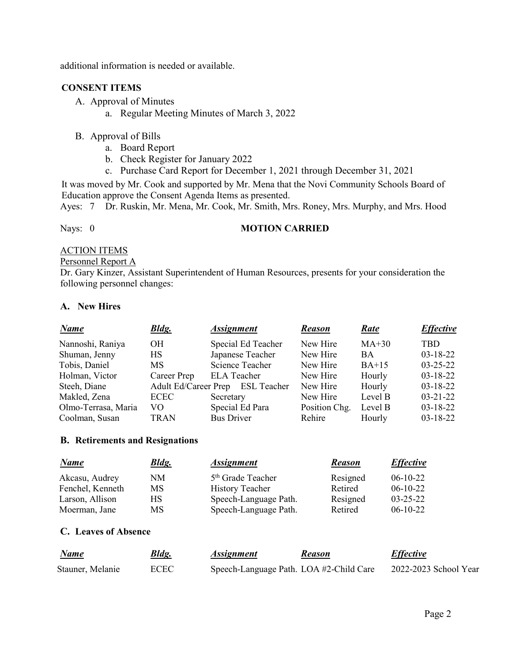additional information is needed or available.

## **CONSENT ITEMS**

- A. Approval of Minutes
	- a. Regular Meeting Minutes of March 3, 2022
- B. Approval of Bills
	- a. Board Report
	- b. Check Register for January 2022
	- c. Purchase Card Report for December 1, 2021 through December 31, 2021

It was moved by Mr. Cook and supported by Mr. Mena that the Novi Community Schools Board of Education approve the Consent Agenda Items as presented.

Ayes: 7 Dr. Ruskin, Mr. Mena, Mr. Cook, Mr. Smith, Mrs. Roney, Mrs. Murphy, and Mrs. Hood

## Nays: 0 **MOTION CARRIED**

# ACTION ITEMS

# Personnel Report A

Dr. Gary Kinzer, Assistant Superintendent of Human Resources, presents for your consideration the following personnel changes:

### **A. New Hires**

| <b>Name</b>         | <b>Bldg.</b>                     | <b>Assignment</b> |                    | <b>Reason</b> | Rate      | <b>Effective</b> |
|---------------------|----------------------------------|-------------------|--------------------|---------------|-----------|------------------|
| Nannoshi, Raniya    | <b>OH</b>                        |                   | Special Ed Teacher | New Hire      | $MA+30$   | <b>TBD</b>       |
| Shuman, Jenny       | <b>HS</b>                        |                   | Japanese Teacher   | New Hire      | <b>BA</b> | $03 - 18 - 22$   |
| Tobis, Daniel       | <b>MS</b>                        |                   | Science Teacher    | New Hire      | $BA+15$   | $03 - 25 - 22$   |
| Holman, Victor      | Career Prep                      |                   | <b>ELA</b> Teacher | New Hire      | Hourly    | $03 - 18 - 22$   |
| Steeh, Diane        | Adult Ed/Career Prep ESL Teacher |                   |                    | New Hire      | Hourly    | $03-18-22$       |
| Makled, Zena        | <b>ECEC</b>                      | Secretary         |                    | New Hire      | Level B   | $03 - 21 - 22$   |
| Olmo-Terrasa, Maria | VO.                              |                   | Special Ed Para    | Position Chg. | Level B   | 03-18-22         |
| Coolman, Susan      | <b>TRAN</b>                      | <b>Bus Driver</b> |                    | Rehire        | Hourly    | $03 - 18 - 22$   |

### **B. Retirements and Resignations**

| Name             | <b>Bldg.</b> | <i><b>Assignment</b></i>      | <b>Reason</b> | <i><b>Effective</b></i> |
|------------------|--------------|-------------------------------|---------------|-------------------------|
| Akcasu, Audrey   | NM           | 5 <sup>th</sup> Grade Teacher | Resigned      | $06-10-22$              |
| Fenchel, Kenneth | MS           | <b>History Teacher</b>        | Retired       | $06-10-22$              |
| Larson, Allison  | НS           | Speech-Language Path.         | Resigned      | $03 - 25 - 22$          |
| Moerman, Jane    | MS           | Speech-Language Path.         | Retired       | $06-10-22$              |

### **C. Leaves of Absence**

| Name             | <u>Bldg.</u> | <i>Assignment</i> | Reason                                  | <b>Effective</b>      |
|------------------|--------------|-------------------|-----------------------------------------|-----------------------|
| Stauner, Melanie | <b>ECEC</b>  |                   | Speech-Language Path. LOA #2-Child Care | 2022-2023 School Year |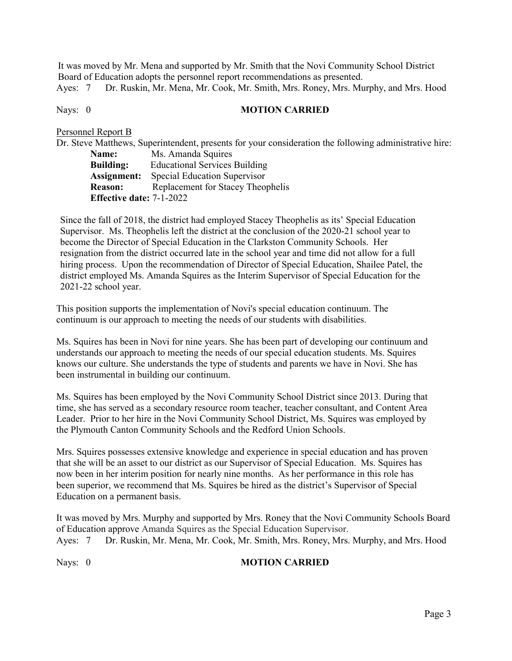It was moved by Mr. Mena and supported by Mr. Smith that the Novi Community School District Board of Education adopts the personnel report recommendations as presented. Ayes: 7 Dr. Ruskin, Mr. Mena, Mr. Cook, Mr. Smith, Mrs. Roney, Mrs. Murphy, and Mrs. Hood

# Nays: 0 **MOTION CARRIED**

Personnel Report B

Dr. Steve Matthews, Superintendent, presents for your consideration the following administrative hire: Name: Ms. Amanda Squires **Building:** Educational Services Building **Assignment:** Special Education Supervisor **Reason:** Replacement for Stacey Theophelis **Effective date:** 7-1-2022

Since the fall of 2018, the district had employed Stacey Theophelis as its' Special Education Supervisor. Ms. Theophelis left the district at the conclusion of the 2020-21 school year to become the Director of Special Education in the Clarkston Community Schools. Her resignation from the district occurred late in the school year and time did not allow for a full hiring process. Upon the recommendation of Director of Special Education, Shailee Patel, the district employed Ms. Amanda Squires as the Interim Supervisor of Special Education for the 2021-22 school year.

This position supports the implementation of Novi's special education continuum. The continuum is our approach to meeting the needs of our students with disabilities.

Ms. Squires has been in Novi for nine years. She has been part of developing our continuum and understands our approach to meeting the needs of our special education students. Ms. Squires knows our culture. She understands the type of students and parents we have in Novi. She has been instrumental in building our continuum.

Ms. Squires has been employed by the Novi Community School District since 2013. During that time, she has served as a secondary resource room teacher, teacher consultant, and Content Area Leader. Prior to her hire in the Novi Community School District, Ms. Squires was employed by the Plymouth Canton Community Schools and the Redford Union Schools.

Mrs. Squires possesses extensive knowledge and experience in special education and has proven that she will be an asset to our district as our Supervisor of Special Education. Ms. Squires has now been in her interim position for nearly nine months. As her performance in this role has been superior, we recommend that Ms. Squires be hired as the district's Supervisor of Special Education on a permanent basis.

It was moved by Mrs. Murphy and supported by Mrs. Roney that the Novi Community Schools Board of Education approve Amanda Squires as the Special Education Supervisor. Ayes: 7 Dr. Ruskin, Mr. Mena, Mr. Cook, Mr. Smith, Mrs. Roney, Mrs. Murphy, and Mrs. Hood

# Nays: 0 **MOTION CARRIED**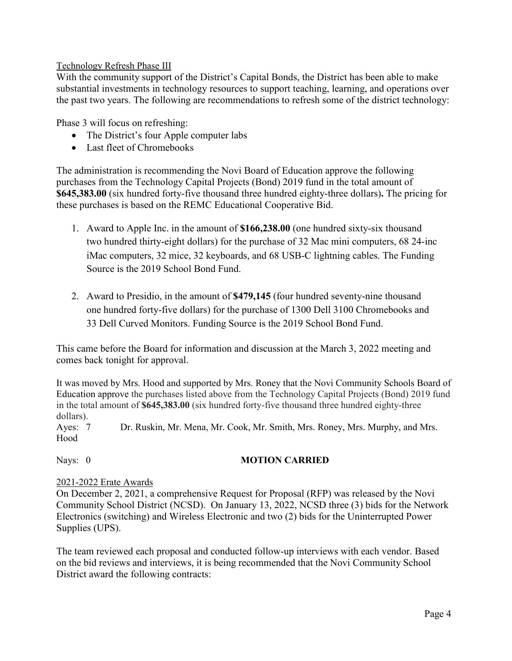# Technology Refresh Phase III

With the community support of the District's Capital Bonds, the District has been able to make substantial investments in technology resources to support teaching, learning, and operations over the past two years. The following are recommendations to refresh some of the district technology:

Phase 3 will focus on refreshing:

- The District's four Apple computer labs
- Last fleet of Chromebooks

The administration is recommending the Novi Board of Education approve the following purchases from the Technology Capital Projects (Bond) 2019 fund in the total amount of **\$645,383.00** (six hundred forty-five thousand three hundred eighty-three dollars)**.** The pricing for these purchases is based on the REMC Educational Cooperative Bid.

- 1. Award to Apple Inc. in the amount of **\$166,238.00** (one hundred sixty-six thousand two hundred thirty-eight dollars) for the purchase of 32 Mac mini computers, 68 24-inc iMac computers, 32 mice, 32 keyboards, and 68 USB-C lightning cables. The Funding Source is the 2019 School Bond Fund.
- 2. Award to Presidio, in the amount of **\$479,145** (four hundred seventy-nine thousand one hundred forty-five dollars) for the purchase of 1300 Dell 3100 Chromebooks and 33 Dell Curved Monitors. Funding Source is the 2019 School Bond Fund.

This came before the Board for information and discussion at the March 3, 2022 meeting and comes back tonight for approval.

It was moved by Mrs. Hood and supported by Mrs. Roney that the Novi Community Schools Board of Education approve the purchases listed above from the Technology Capital Projects (Bond) 2019 fund in the total amount of **\$645,383.00** (six hundred forty-five thousand three hundred eighty-three dollars).

Ayes: 7 Dr. Ruskin, Mr. Mena, Mr. Cook, Mr. Smith, Mrs. Roney, Mrs. Murphy, and Mrs. Hood

# Nays: 0 **MOTION CARRIED**

# 2021-2022 Erate Awards

On December 2, 2021, a comprehensive Request for Proposal (RFP) was released by the Novi Community School District (NCSD). On January 13, 2022, NCSD three (3) bids for the Network Electronics (switching) and Wireless Electronic and two (2) bids for the Uninterrupted Power Supplies (UPS).

The team reviewed each proposal and conducted follow-up interviews with each vendor. Based on the bid reviews and interviews, it is being recommended that the Novi Community School District award the following contracts: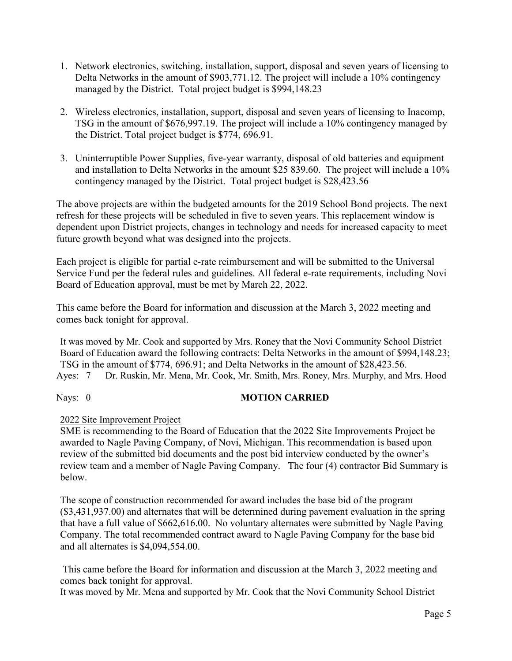- 1. Network electronics, switching, installation, support, disposal and seven years of licensing to Delta Networks in the amount of \$903,771.12. The project will include a 10% contingency managed by the District. Total project budget is \$994,148.23
- 2. Wireless electronics, installation, support, disposal and seven years of licensing to Inacomp, TSG in the amount of \$676,997.19. The project will include a 10% contingency managed by the District. Total project budget is \$774, 696.91.
- 3. Uninterruptible Power Supplies, five-year warranty, disposal of old batteries and equipment and installation to Delta Networks in the amount \$25 839.60. The project will include a 10% contingency managed by the District. Total project budget is \$28,423.56

The above projects are within the budgeted amounts for the 2019 School Bond projects. The next refresh for these projects will be scheduled in five to seven years. This replacement window is dependent upon District projects, changes in technology and needs for increased capacity to meet future growth beyond what was designed into the projects.

Each project is eligible for partial e-rate reimbursement and will be submitted to the Universal Service Fund per the federal rules and guidelines. All federal e-rate requirements, including Novi Board of Education approval, must be met by March 22, 2022.

This came before the Board for information and discussion at the March 3, 2022 meeting and comes back tonight for approval.

It was moved by Mr. Cook and supported by Mrs. Roney that the Novi Community School District Board of Education award the following contracts: Delta Networks in the amount of \$994,148.23; TSG in the amount of \$774, 696.91; and Delta Networks in the amount of \$28,423.56. Ayes: 7 Dr. Ruskin, Mr. Mena, Mr. Cook, Mr. Smith, Mrs. Roney, Mrs. Murphy, and Mrs. Hood

# Nays: 0 **MOTION CARRIED**

# 2022 Site Improvement Project

SME is recommending to the Board of Education that the 2022 Site Improvements Project be awarded to Nagle Paving Company, of Novi, Michigan. This recommendation is based upon review of the submitted bid documents and the post bid interview conducted by the owner's review team and a member of Nagle Paving Company. The four (4) contractor Bid Summary is below.

The scope of construction recommended for award includes the base bid of the program (\$3,431,937.00) and alternates that will be determined during pavement evaluation in the spring that have a full value of \$662,616.00. No voluntary alternates were submitted by Nagle Paving Company. The total recommended contract award to Nagle Paving Company for the base bid and all alternates is \$4,094,554.00.

This came before the Board for information and discussion at the March 3, 2022 meeting and comes back tonight for approval.

It was moved by Mr. Mena and supported by Mr. Cook that the Novi Community School District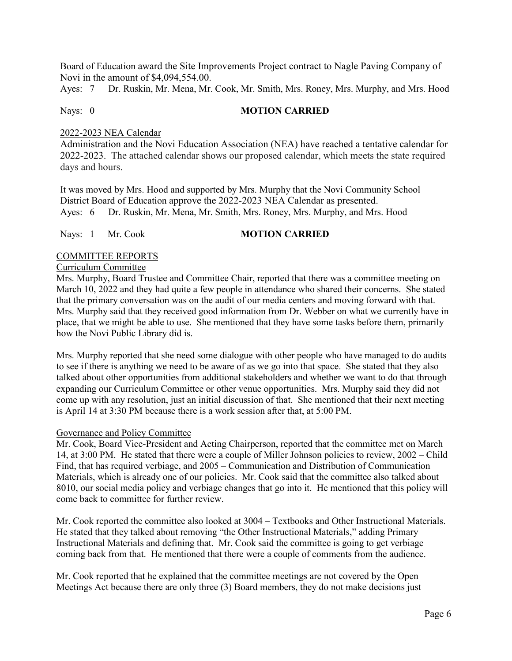Board of Education award the Site Improvements Project contract to Nagle Paving Company of Novi in the amount of \$4,094,554.00.

Ayes: 7 Dr. Ruskin, Mr. Mena, Mr. Cook, Mr. Smith, Mrs. Roney, Mrs. Murphy, and Mrs. Hood

### Nays: 0 **MOTION CARRIED**

## 2022-2023 NEA Calendar

Administration and the Novi Education Association (NEA) have reached a tentative calendar for 2022-2023. The attached calendar shows our proposed calendar, which meets the state required days and hours.

It was moved by Mrs. Hood and supported by Mrs. Murphy that the Novi Community School District Board of Education approve the 2022-2023 NEA Calendar as presented. Ayes: 6 Dr. Ruskin, Mr. Mena, Mr. Smith, Mrs. Roney, Mrs. Murphy, and Mrs. Hood

## Nays: 1 Mr. Cook **MOTION CARRIED**

### COMMITTEE REPORTS

### Curriculum Committee

Mrs. Murphy, Board Trustee and Committee Chair, reported that there was a committee meeting on March 10, 2022 and they had quite a few people in attendance who shared their concerns. She stated that the primary conversation was on the audit of our media centers and moving forward with that. Mrs. Murphy said that they received good information from Dr. Webber on what we currently have in place, that we might be able to use. She mentioned that they have some tasks before them, primarily how the Novi Public Library did is.

Mrs. Murphy reported that she need some dialogue with other people who have managed to do audits to see if there is anything we need to be aware of as we go into that space. She stated that they also talked about other opportunities from additional stakeholders and whether we want to do that through expanding our Curriculum Committee or other venue opportunities. Mrs. Murphy said they did not come up with any resolution, just an initial discussion of that. She mentioned that their next meeting is April 14 at 3:30 PM because there is a work session after that, at 5:00 PM.

### Governance and Policy Committee

Mr. Cook, Board Vice-President and Acting Chairperson, reported that the committee met on March 14, at 3:00 PM. He stated that there were a couple of Miller Johnson policies to review, 2002 – Child Find, that has required verbiage, and 2005 – Communication and Distribution of Communication Materials, which is already one of our policies. Mr. Cook said that the committee also talked about 8010, our social media policy and verbiage changes that go into it. He mentioned that this policy will come back to committee for further review.

Mr. Cook reported the committee also looked at 3004 – Textbooks and Other Instructional Materials. He stated that they talked about removing "the Other Instructional Materials," adding Primary Instructional Materials and defining that. Mr. Cook said the committee is going to get verbiage coming back from that. He mentioned that there were a couple of comments from the audience.

Mr. Cook reported that he explained that the committee meetings are not covered by the Open Meetings Act because there are only three (3) Board members, they do not make decisions just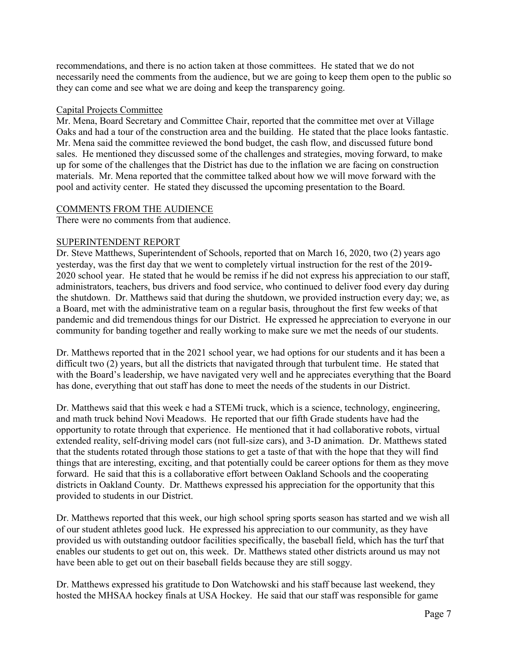recommendations, and there is no action taken at those committees. He stated that we do not necessarily need the comments from the audience, but we are going to keep them open to the public so they can come and see what we are doing and keep the transparency going.

### Capital Projects Committee

Mr. Mena, Board Secretary and Committee Chair, reported that the committee met over at Village Oaks and had a tour of the construction area and the building. He stated that the place looks fantastic. Mr. Mena said the committee reviewed the bond budget, the cash flow, and discussed future bond sales. He mentioned they discussed some of the challenges and strategies, moving forward, to make up for some of the challenges that the District has due to the inflation we are facing on construction materials. Mr. Mena reported that the committee talked about how we will move forward with the pool and activity center. He stated they discussed the upcoming presentation to the Board.

## COMMENTS FROM THE AUDIENCE

There were no comments from that audience.

## SUPERINTENDENT REPORT

Dr. Steve Matthews, Superintendent of Schools, reported that on March 16, 2020, two (2) years ago yesterday, was the first day that we went to completely virtual instruction for the rest of the 2019- 2020 school year. He stated that he would be remiss if he did not express his appreciation to our staff, administrators, teachers, bus drivers and food service, who continued to deliver food every day during the shutdown. Dr. Matthews said that during the shutdown, we provided instruction every day; we, as a Board, met with the administrative team on a regular basis, throughout the first few weeks of that pandemic and did tremendous things for our District. He expressed he appreciation to everyone in our community for banding together and really working to make sure we met the needs of our students.

Dr. Matthews reported that in the 2021 school year, we had options for our students and it has been a difficult two (2) years, but all the districts that navigated through that turbulent time. He stated that with the Board's leadership, we have navigated very well and he appreciates everything that the Board has done, everything that out staff has done to meet the needs of the students in our District.

Dr. Matthews said that this week e had a STEMi truck, which is a science, technology, engineering, and math truck behind Novi Meadows. He reported that our fifth Grade students have had the opportunity to rotate through that experience. He mentioned that it had collaborative robots, virtual extended reality, self-driving model cars (not full-size cars), and 3-D animation. Dr. Matthews stated that the students rotated through those stations to get a taste of that with the hope that they will find things that are interesting, exciting, and that potentially could be career options for them as they move forward. He said that this is a collaborative effort between Oakland Schools and the cooperating districts in Oakland County. Dr. Matthews expressed his appreciation for the opportunity that this provided to students in our District.

Dr. Matthews reported that this week, our high school spring sports season has started and we wish all of our student athletes good luck. He expressed his appreciation to our community, as they have provided us with outstanding outdoor facilities specifically, the baseball field, which has the turf that enables our students to get out on, this week. Dr. Matthews stated other districts around us may not have been able to get out on their baseball fields because they are still soggy.

Dr. Matthews expressed his gratitude to Don Watchowski and his staff because last weekend, they hosted the MHSAA hockey finals at USA Hockey. He said that our staff was responsible for game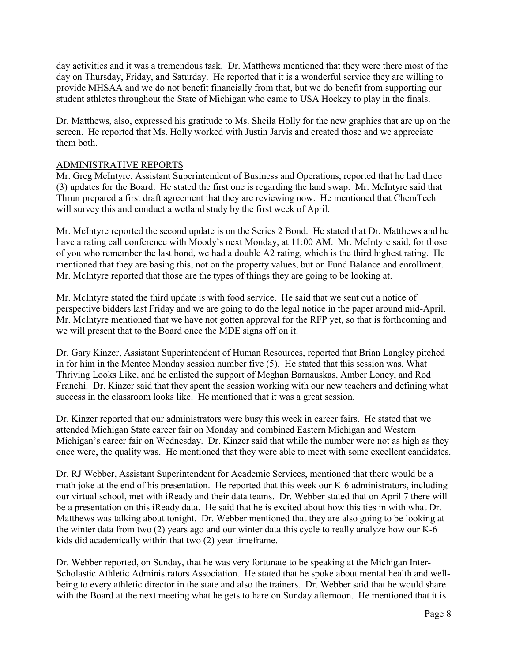day activities and it was a tremendous task. Dr. Matthews mentioned that they were there most of the day on Thursday, Friday, and Saturday. He reported that it is a wonderful service they are willing to provide MHSAA and we do not benefit financially from that, but we do benefit from supporting our student athletes throughout the State of Michigan who came to USA Hockey to play in the finals.

Dr. Matthews, also, expressed his gratitude to Ms. Sheila Holly for the new graphics that are up on the screen. He reported that Ms. Holly worked with Justin Jarvis and created those and we appreciate them both.

## ADMINISTRATIVE REPORTS

Mr. Greg McIntyre, Assistant Superintendent of Business and Operations, reported that he had three (3) updates for the Board. He stated the first one is regarding the land swap. Mr. McIntyre said that Thrun prepared a first draft agreement that they are reviewing now. He mentioned that ChemTech will survey this and conduct a wetland study by the first week of April.

Mr. McIntyre reported the second update is on the Series 2 Bond. He stated that Dr. Matthews and he have a rating call conference with Moody's next Monday, at 11:00 AM. Mr. McIntyre said, for those of you who remember the last bond, we had a double A2 rating, which is the third highest rating. He mentioned that they are basing this, not on the property values, but on Fund Balance and enrollment. Mr. McIntyre reported that those are the types of things they are going to be looking at.

Mr. McIntyre stated the third update is with food service. He said that we sent out a notice of perspective bidders last Friday and we are going to do the legal notice in the paper around mid-April. Mr. McIntyre mentioned that we have not gotten approval for the RFP yet, so that is forthcoming and we will present that to the Board once the MDE signs off on it.

Dr. Gary Kinzer, Assistant Superintendent of Human Resources, reported that Brian Langley pitched in for him in the Mentee Monday session number five (5). He stated that this session was, What Thriving Looks Like, and he enlisted the support of Meghan Barnauskas, Amber Loney, and Rod Franchi. Dr. Kinzer said that they spent the session working with our new teachers and defining what success in the classroom looks like. He mentioned that it was a great session.

Dr. Kinzer reported that our administrators were busy this week in career fairs. He stated that we attended Michigan State career fair on Monday and combined Eastern Michigan and Western Michigan's career fair on Wednesday. Dr. Kinzer said that while the number were not as high as they once were, the quality was. He mentioned that they were able to meet with some excellent candidates.

Dr. RJ Webber, Assistant Superintendent for Academic Services, mentioned that there would be a math joke at the end of his presentation. He reported that this week our K-6 administrators, including our virtual school, met with iReady and their data teams. Dr. Webber stated that on April 7 there will be a presentation on this iReady data. He said that he is excited about how this ties in with what Dr. Matthews was talking about tonight. Dr. Webber mentioned that they are also going to be looking at the winter data from two (2) years ago and our winter data this cycle to really analyze how our K-6 kids did academically within that two (2) year timeframe.

Dr. Webber reported, on Sunday, that he was very fortunate to be speaking at the Michigan Inter-Scholastic Athletic Administrators Association. He stated that he spoke about mental health and wellbeing to every athletic director in the state and also the trainers. Dr. Webber said that he would share with the Board at the next meeting what he gets to hare on Sunday afternoon. He mentioned that it is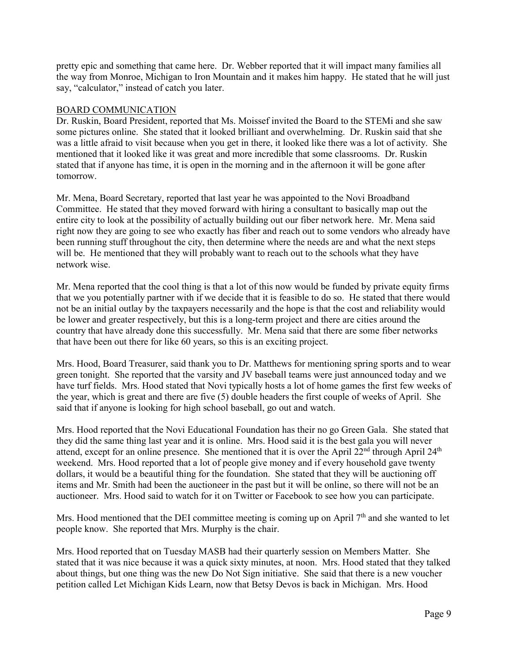pretty epic and something that came here. Dr. Webber reported that it will impact many families all the way from Monroe, Michigan to Iron Mountain and it makes him happy. He stated that he will just say, "calculator," instead of catch you later.

## BOARD COMMUNICATION

Dr. Ruskin, Board President, reported that Ms. Moissef invited the Board to the STEMi and she saw some pictures online. She stated that it looked brilliant and overwhelming. Dr. Ruskin said that she was a little afraid to visit because when you get in there, it looked like there was a lot of activity. She mentioned that it looked like it was great and more incredible that some classrooms. Dr. Ruskin stated that if anyone has time, it is open in the morning and in the afternoon it will be gone after tomorrow.

Mr. Mena, Board Secretary, reported that last year he was appointed to the Novi Broadband Committee. He stated that they moved forward with hiring a consultant to basically map out the entire city to look at the possibility of actually building out our fiber network here. Mr. Mena said right now they are going to see who exactly has fiber and reach out to some vendors who already have been running stuff throughout the city, then determine where the needs are and what the next steps will be. He mentioned that they will probably want to reach out to the schools what they have network wise.

Mr. Mena reported that the cool thing is that a lot of this now would be funded by private equity firms that we you potentially partner with if we decide that it is feasible to do so. He stated that there would not be an initial outlay by the taxpayers necessarily and the hope is that the cost and reliability would be lower and greater respectively, but this is a long-term project and there are cities around the country that have already done this successfully. Mr. Mena said that there are some fiber networks that have been out there for like 60 years, so this is an exciting project.

Mrs. Hood, Board Treasurer, said thank you to Dr. Matthews for mentioning spring sports and to wear green tonight. She reported that the varsity and JV baseball teams were just announced today and we have turf fields. Mrs. Hood stated that Novi typically hosts a lot of home games the first few weeks of the year, which is great and there are five (5) double headers the first couple of weeks of April. She said that if anyone is looking for high school baseball, go out and watch.

Mrs. Hood reported that the Novi Educational Foundation has their no go Green Gala. She stated that they did the same thing last year and it is online. Mrs. Hood said it is the best gala you will never attend, except for an online presence. She mentioned that it is over the April  $22<sup>nd</sup>$  through April  $24<sup>th</sup>$ weekend. Mrs. Hood reported that a lot of people give money and if every household gave twenty dollars, it would be a beautiful thing for the foundation. She stated that they will be auctioning off items and Mr. Smith had been the auctioneer in the past but it will be online, so there will not be an auctioneer. Mrs. Hood said to watch for it on Twitter or Facebook to see how you can participate.

Mrs. Hood mentioned that the DEI committee meeting is coming up on April  $7<sup>th</sup>$  and she wanted to let people know. She reported that Mrs. Murphy is the chair.

Mrs. Hood reported that on Tuesday MASB had their quarterly session on Members Matter. She stated that it was nice because it was a quick sixty minutes, at noon. Mrs. Hood stated that they talked about things, but one thing was the new Do Not Sign initiative. She said that there is a new voucher petition called Let Michigan Kids Learn, now that Betsy Devos is back in Michigan. Mrs. Hood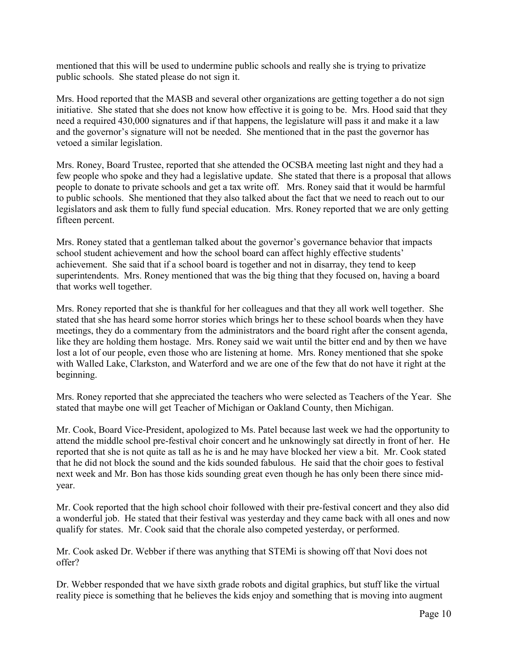mentioned that this will be used to undermine public schools and really she is trying to privatize public schools. She stated please do not sign it.

Mrs. Hood reported that the MASB and several other organizations are getting together a do not sign initiative. She stated that she does not know how effective it is going to be. Mrs. Hood said that they need a required 430,000 signatures and if that happens, the legislature will pass it and make it a law and the governor's signature will not be needed. She mentioned that in the past the governor has vetoed a similar legislation.

Mrs. Roney, Board Trustee, reported that she attended the OCSBA meeting last night and they had a few people who spoke and they had a legislative update. She stated that there is a proposal that allows people to donate to private schools and get a tax write off. Mrs. Roney said that it would be harmful to public schools. She mentioned that they also talked about the fact that we need to reach out to our legislators and ask them to fully fund special education. Mrs. Roney reported that we are only getting fifteen percent.

Mrs. Roney stated that a gentleman talked about the governor's governance behavior that impacts school student achievement and how the school board can affect highly effective students' achievement. She said that if a school board is together and not in disarray, they tend to keep superintendents. Mrs. Roney mentioned that was the big thing that they focused on, having a board that works well together.

Mrs. Roney reported that she is thankful for her colleagues and that they all work well together. She stated that she has heard some horror stories which brings her to these school boards when they have meetings, they do a commentary from the administrators and the board right after the consent agenda, like they are holding them hostage. Mrs. Roney said we wait until the bitter end and by then we have lost a lot of our people, even those who are listening at home. Mrs. Roney mentioned that she spoke with Walled Lake, Clarkston, and Waterford and we are one of the few that do not have it right at the beginning.

Mrs. Roney reported that she appreciated the teachers who were selected as Teachers of the Year. She stated that maybe one will get Teacher of Michigan or Oakland County, then Michigan.

Mr. Cook, Board Vice-President, apologized to Ms. Patel because last week we had the opportunity to attend the middle school pre-festival choir concert and he unknowingly sat directly in front of her. He reported that she is not quite as tall as he is and he may have blocked her view a bit. Mr. Cook stated that he did not block the sound and the kids sounded fabulous. He said that the choir goes to festival next week and Mr. Bon has those kids sounding great even though he has only been there since midyear.

Mr. Cook reported that the high school choir followed with their pre-festival concert and they also did a wonderful job. He stated that their festival was yesterday and they came back with all ones and now qualify for states. Mr. Cook said that the chorale also competed yesterday, or performed.

Mr. Cook asked Dr. Webber if there was anything that STEMi is showing off that Novi does not offer?

Dr. Webber responded that we have sixth grade robots and digital graphics, but stuff like the virtual reality piece is something that he believes the kids enjoy and something that is moving into augment